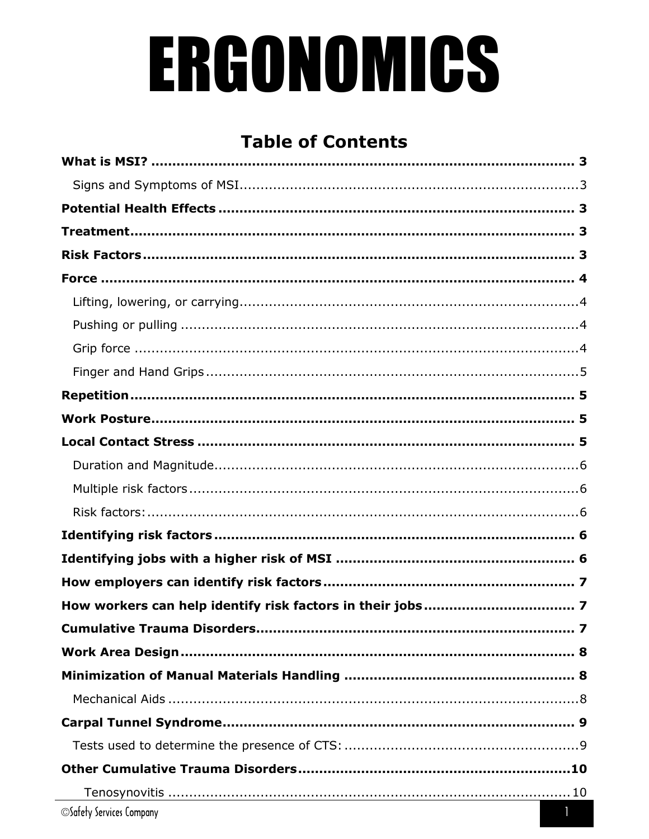# ERGONOMICS

# **Table of Contents**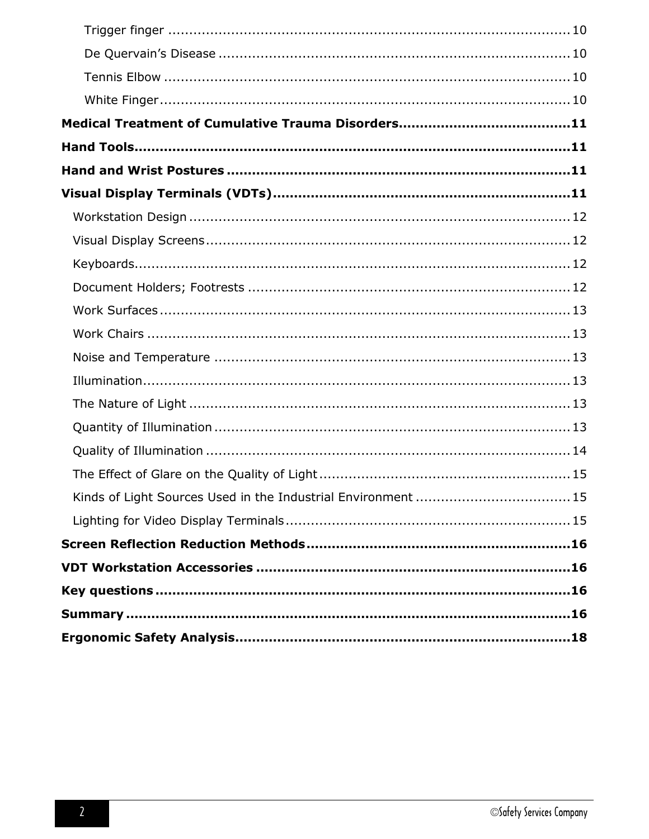| Kinds of Light Sources Used in the Industrial Environment  15 |  |
|---------------------------------------------------------------|--|
|                                                               |  |
|                                                               |  |
|                                                               |  |
|                                                               |  |
|                                                               |  |
|                                                               |  |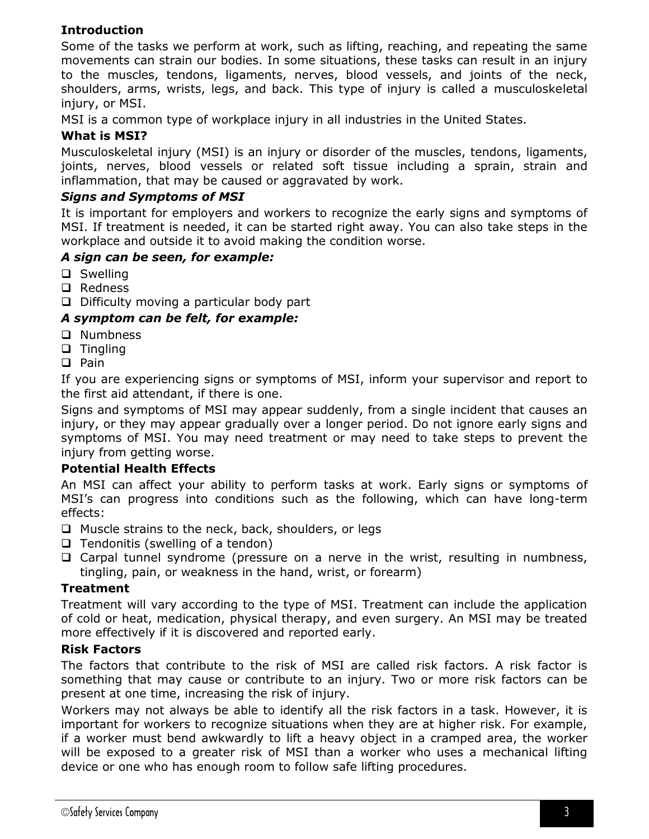# **Introduction**

Some of the tasks we perform at work, such as lifting, reaching, and repeating the same movements can strain our bodies. In some situations, these tasks can result in an injury to the muscles, tendons, ligaments, nerves, blood vessels, and joints of the neck, shoulders, arms, wrists, legs, and back. This type of injury is called a musculoskeletal injury, or MSI.

MSI is a common type of workplace injury in all industries in the United States.

# <span id="page-2-0"></span>**What is MSI?**

Musculoskeletal injury (MSI) is an injury or disorder of the muscles, tendons, ligaments, joints, nerves, blood vessels or related soft tissue including a sprain, strain and inflammation, that may be caused or aggravated by work.

# <span id="page-2-1"></span>*Signs and Symptoms of MSI*

It is important for employers and workers to recognize the early signs and symptoms of MSI. If treatment is needed, it can be started right away. You can also take steps in the workplace and outside it to avoid making the condition worse.

# *A sign can be seen, for example:*

- □ Swelling
- □ Redness
- $\Box$  Difficulty moving a particular body part

# *A symptom can be felt, for example:*

- □ Numbness
- $\Box$  Tingling
- $\Box$  Pain

If you are experiencing signs or symptoms of MSI, inform your supervisor and report to the first aid attendant, if there is one.

Signs and symptoms of MSI may appear suddenly, from a single incident that causes an injury, or they may appear gradually over a longer period. Do not ignore early signs and symptoms of MSI. You may need treatment or may need to take steps to prevent the injury from getting worse.

#### <span id="page-2-2"></span>**Potential Health Effects**

An MSI can affect your ability to perform tasks at work. Early signs or symptoms of MSI's can progress into conditions such as the following, which can have long-term effects:

- $\Box$  Muscle strains to the neck, back, shoulders, or legs
- $\Box$  Tendonitis (swelling of a tendon)
- $\Box$  Carpal tunnel syndrome (pressure on a nerve in the wrist, resulting in numbness, tingling, pain, or weakness in the hand, wrist, or forearm)

# <span id="page-2-3"></span>**Treatment**

Treatment will vary according to the type of MSI. Treatment can include the application of cold or heat, medication, physical therapy, and even surgery. An MSI may be treated more effectively if it is discovered and reported early.

# <span id="page-2-4"></span>**Risk Factors**

The factors that contribute to the risk of MSI are called risk factors. A risk factor is something that may cause or contribute to an injury. Two or more risk factors can be present at one time, increasing the risk of injury.

Workers may not always be able to identify all the risk factors in a task. However, it is important for workers to recognize situations when they are at higher risk. For example, if a worker must bend awkwardly to lift a heavy object in a cramped area, the worker will be exposed to a greater risk of MSI than a worker who uses a mechanical lifting device or one who has enough room to follow safe lifting procedures.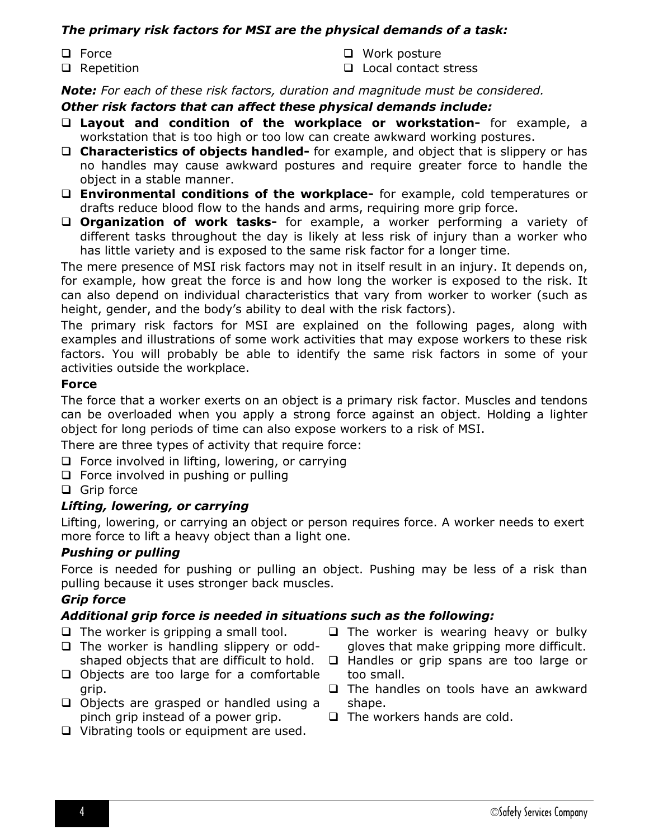# *The primary risk factors for MSI are the physical demands of a task:*

- **Q** Force
- □ Repetition
- □ Work posture
- **Q** Local contact stress

*Note: For each of these risk factors, duration and magnitude must be considered.*

# *Other risk factors that can affect these physical demands include:*

- **Layout and condition of the workplace or workstation-** for example, a workstation that is too high or too low can create awkward working postures.
- **Characteristics of objects handled-** for example, and object that is slippery or has no handles may cause awkward postures and require greater force to handle the object in a stable manner.
- **Environmental conditions of the workplace-** for example, cold temperatures or drafts reduce blood flow to the hands and arms, requiring more grip force.
- **Organization of work tasks-** for example, a worker performing a variety of different tasks throughout the day is likely at less risk of injury than a worker who has little variety and is exposed to the same risk factor for a longer time.

The mere presence of MSI risk factors may not in itself result in an injury. It depends on, for example, how great the force is and how long the worker is exposed to the risk. It can also depend on individual characteristics that vary from worker to worker (such as height, gender, and the body's ability to deal with the risk factors).

The primary risk factors for MSI are explained on the following pages, along with examples and illustrations of some work activities that may expose workers to these risk factors. You will probably be able to identify the same risk factors in some of your activities outside the workplace.

# <span id="page-3-0"></span>**Force**

The force that a worker exerts on an object is a primary risk factor. Muscles and tendons can be overloaded when you apply a strong force against an object. Holding a lighter object for long periods of time can also expose workers to a risk of MSI.

There are three types of activity that require force:

- $\Box$  Force involved in lifting, lowering, or carrying
- $\Box$  Force involved in pushing or pulling

□ Grip force

# <span id="page-3-1"></span>*Lifting, lowering, or carrying*

Lifting, lowering, or carrying an object or person requires force. A worker needs to exert more force to lift a heavy object than a light one.

# <span id="page-3-2"></span>*Pushing or pulling*

Force is needed for pushing or pulling an object. Pushing may be less of a risk than pulling because it uses stronger back muscles.

# <span id="page-3-3"></span>*Grip force*

# *Additional grip force is needed in situations such as the following:*

- $\Box$  The worker is gripping a small tool.
- $\Box$  The worker is handling slippery or oddshaped objects that are difficult to hold.
- $\Box$  Objects are too large for a comfortable grip.
- $\Box$  Objects are grasped or handled using a pinch grip instead of a power grip.
- $\Box$  Vibrating tools or equipment are used.
- $\Box$  The worker is wearing heavy or bulky gloves that make gripping more difficult.
- $\Box$  Handles or grip spans are too large or too small.
- $\Box$  The handles on tools have an awkward shape.
- $\Box$  The workers hands are cold.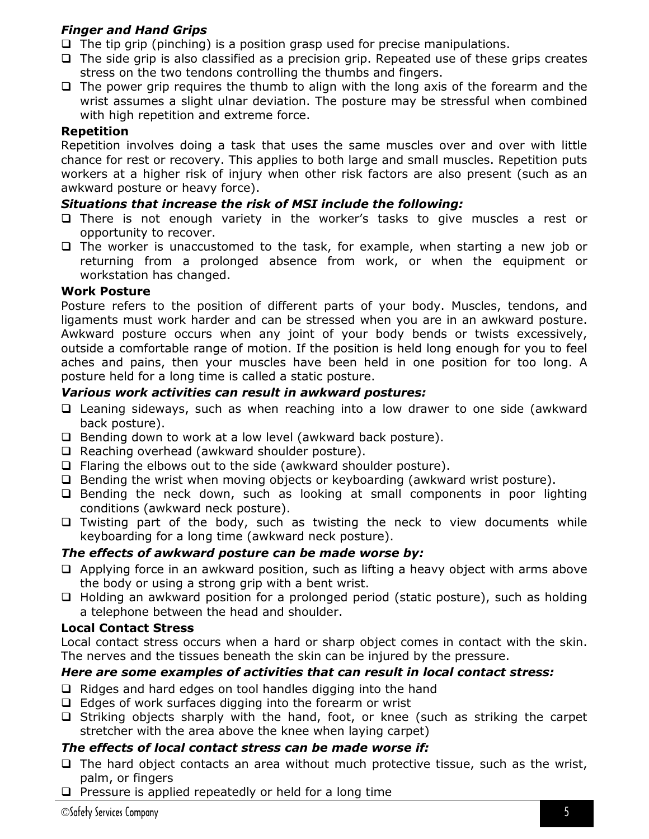# <span id="page-4-0"></span>*Finger and Hand Grips*

- $\Box$  The tip grip (pinching) is a position grasp used for precise manipulations.
- $\Box$  The side grip is also classified as a precision grip. Repeated use of these grips creates stress on the two tendons controlling the thumbs and fingers.
- $\Box$  The power grip requires the thumb to align with the long axis of the forearm and the wrist assumes a slight ulnar deviation. The posture may be stressful when combined with high repetition and extreme force.

# <span id="page-4-1"></span>**Repetition**

Repetition involves doing a task that uses the same muscles over and over with little chance for rest or recovery. This applies to both large and small muscles. Repetition puts workers at a higher risk of injury when other risk factors are also present (such as an awkward posture or heavy force).

# *Situations that increase the risk of MSI include the following:*

- $\Box$  There is not enough variety in the worker's tasks to give muscles a rest or opportunity to recover.
- $\Box$  The worker is unaccustomed to the task, for example, when starting a new job or returning from a prolonged absence from work, or when the equipment or workstation has changed.

# <span id="page-4-2"></span>**Work Posture**

Posture refers to the position of different parts of your body. Muscles, tendons, and ligaments must work harder and can be stressed when you are in an awkward posture. Awkward posture occurs when any joint of your body bends or twists excessively, outside a comfortable range of motion. If the position is held long enough for you to feel aches and pains, then your muscles have been held in one position for too long. A posture held for a long time is called a static posture.

# *Various work activities can result in awkward postures:*

- Leaning sideways, such as when reaching into a low drawer to one side (awkward back posture).
- $\Box$  Bending down to work at a low level (awkward back posture).
- □ Reaching overhead (awkward shoulder posture).
- $\Box$  Flaring the elbows out to the side (awkward shoulder posture).
- $\Box$  Bending the wrist when moving objects or keyboarding (awkward wrist posture).
- $\Box$  Bending the neck down, such as looking at small components in poor lighting conditions (awkward neck posture).
- $\Box$  Twisting part of the body, such as twisting the neck to view documents while keyboarding for a long time (awkward neck posture).

# *The effects of awkward posture can be made worse by:*

- $\Box$  Applying force in an awkward position, such as lifting a heavy object with arms above the body or using a strong grip with a bent wrist.
- $\Box$  Holding an awkward position for a prolonged period (static posture), such as holding a telephone between the head and shoulder.

# <span id="page-4-3"></span>**Local Contact Stress**

Local contact stress occurs when a hard or sharp object comes in contact with the skin. The nerves and the tissues beneath the skin can be injured by the pressure.

# *Here are some examples of activities that can result in local contact stress:*

- $\Box$  Ridges and hard edges on tool handles digging into the hand
- $\Box$  Edges of work surfaces digging into the forearm or wrist
- $\Box$  Striking objects sharply with the hand, foot, or knee (such as striking the carpet stretcher with the area above the knee when laying carpet)

# *The effects of local contact stress can be made worse if:*

- $\Box$  The hard object contacts an area without much protective tissue, such as the wrist, palm, or fingers
- $\Box$  Pressure is applied repeatedly or held for a long time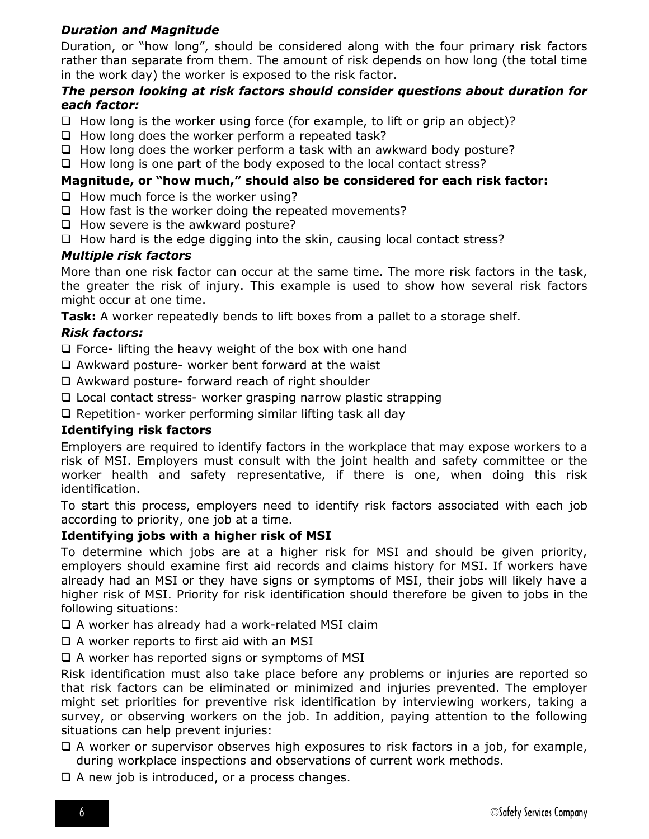# <span id="page-5-0"></span>*Duration and Magnitude*

Duration, or "how long", should be considered along with the four primary risk factors rather than separate from them. The amount of risk depends on how long (the total time in the work day) the worker is exposed to the risk factor.

# *The person looking at risk factors should consider questions about duration for each factor:*

- $\Box$  How long is the worker using force (for example, to lift or grip an object)?
- $\Box$  How long does the worker perform a repeated task?
- $\Box$  How long does the worker perform a task with an awkward body posture?
- $\Box$  How long is one part of the body exposed to the local contact stress?

# **Magnitude, or "how much," should also be considered for each risk factor:**

- $\Box$  How much force is the worker using?
- $\Box$  How fast is the worker doing the repeated movements?
- $\Box$  How severe is the awkward posture?
- $\Box$  How hard is the edge digging into the skin, causing local contact stress?

# <span id="page-5-1"></span>*Multiple risk factors*

More than one risk factor can occur at the same time. The more risk factors in the task, the greater the risk of injury. This example is used to show how several risk factors might occur at one time.

**Task:** A worker repeatedly bends to lift boxes from a pallet to a storage shelf.

# <span id="page-5-2"></span>*Risk factors:*

 $\Box$  Force- lifting the heavy weight of the box with one hand

- $\Box$  Awkward posture- worker bent forward at the waist
- Awkward posture- forward reach of right shoulder
- □ Local contact stress- worker grasping narrow plastic strapping

 $\Box$  Repetition- worker performing similar lifting task all day

# <span id="page-5-3"></span>**Identifying risk factors**

Employers are required to identify factors in the workplace that may expose workers to a risk of MSI. Employers must consult with the joint health and safety committee or the worker health and safety representative, if there is one, when doing this risk identification.

To start this process, employers need to identify risk factors associated with each job according to priority, one job at a time.

#### <span id="page-5-4"></span>**Identifying jobs with a higher risk of MSI**

To determine which jobs are at a higher risk for MSI and should be given priority, employers should examine first aid records and claims history for MSI. If workers have already had an MSI or they have signs or symptoms of MSI, their jobs will likely have a higher risk of MSI. Priority for risk identification should therefore be given to jobs in the following situations:

 $\Box$  A worker has already had a work-related MSI claim

 $\Box$  A worker reports to first aid with an MSI

 $\Box$  A worker has reported signs or symptoms of MSI

Risk identification must also take place before any problems or injuries are reported so that risk factors can be eliminated or minimized and injuries prevented. The employer might set priorities for preventive risk identification by interviewing workers, taking a survey, or observing workers on the job. In addition, paying attention to the following situations can help prevent injuries:

- $\Box$  A worker or supervisor observes high exposures to risk factors in a job, for example, during workplace inspections and observations of current work methods.
- $\Box$  A new job is introduced, or a process changes.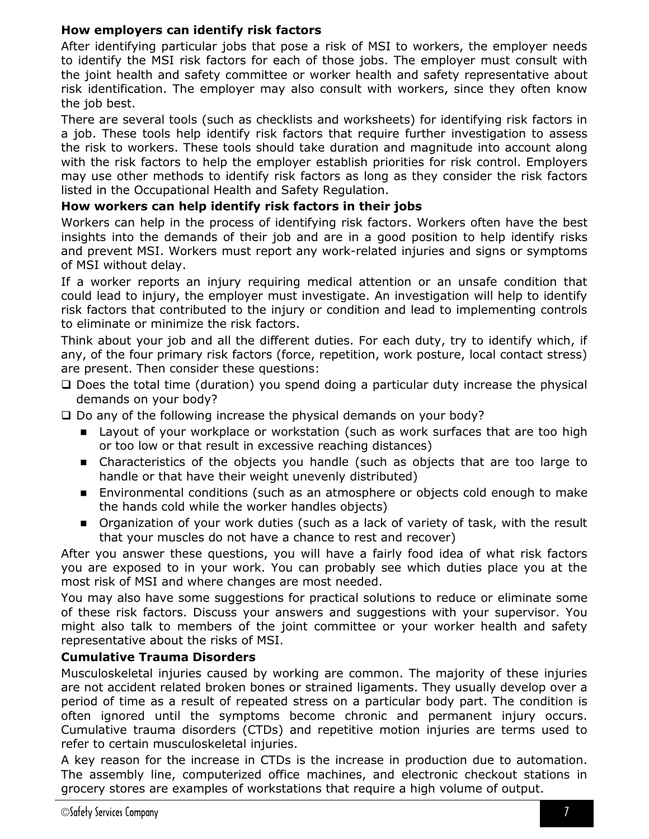# <span id="page-6-0"></span>**How employers can identify risk factors**

After identifying particular jobs that pose a risk of MSI to workers, the employer needs to identify the MSI risk factors for each of those jobs. The employer must consult with the joint health and safety committee or worker health and safety representative about risk identification. The employer may also consult with workers, since they often know the job best.

There are several tools (such as checklists and worksheets) for identifying risk factors in a job. These tools help identify risk factors that require further investigation to assess the risk to workers. These tools should take duration and magnitude into account along with the risk factors to help the employer establish priorities for risk control. Employers may use other methods to identify risk factors as long as they consider the risk factors listed in the Occupational Health and Safety Regulation.

# <span id="page-6-1"></span>**How workers can help identify risk factors in their jobs**

Workers can help in the process of identifying risk factors. Workers often have the best insights into the demands of their job and are in a good position to help identify risks and prevent MSI. Workers must report any work-related injuries and signs or symptoms of MSI without delay.

If a worker reports an injury requiring medical attention or an unsafe condition that could lead to injury, the employer must investigate. An investigation will help to identify risk factors that contributed to the injury or condition and lead to implementing controls to eliminate or minimize the risk factors.

Think about your job and all the different duties. For each duty, try to identify which, if any, of the four primary risk factors (force, repetition, work posture, local contact stress) are present. Then consider these questions:

- $\Box$  Does the total time (duration) you spend doing a particular duty increase the physical demands on your body?
- $\square$  Do any of the following increase the physical demands on your body?
	- **EXT** Layout of your workplace or workstation (such as work surfaces that are too high or too low or that result in excessive reaching distances)
	- Characteristics of the objects you handle (such as objects that are too large to handle or that have their weight unevenly distributed)
	- Environmental conditions (such as an atmosphere or objects cold enough to make the hands cold while the worker handles objects)
	- **Deanization of your work duties (such as a lack of variety of task, with the result** that your muscles do not have a chance to rest and recover)

After you answer these questions, you will have a fairly food idea of what risk factors you are exposed to in your work. You can probably see which duties place you at the most risk of MSI and where changes are most needed.

You may also have some suggestions for practical solutions to reduce or eliminate some of these risk factors. Discuss your answers and suggestions with your supervisor. You might also talk to members of the joint committee or your worker health and safety representative about the risks of MSI.

# <span id="page-6-2"></span>**Cumulative Trauma Disorders**

Musculoskeletal injuries caused by working are common. The majority of these injuries are not accident related broken bones or strained ligaments. They usually develop over a period of time as a result of repeated stress on a particular body part. The condition is often ignored until the symptoms become chronic and permanent injury occurs. Cumulative trauma disorders (CTDs) and repetitive motion injuries are terms used to refer to certain musculoskeletal injuries.

A key reason for the increase in CTDs is the increase in production due to automation. The assembly line, computerized office machines, and electronic checkout stations in grocery stores are examples of workstations that require a high volume of output.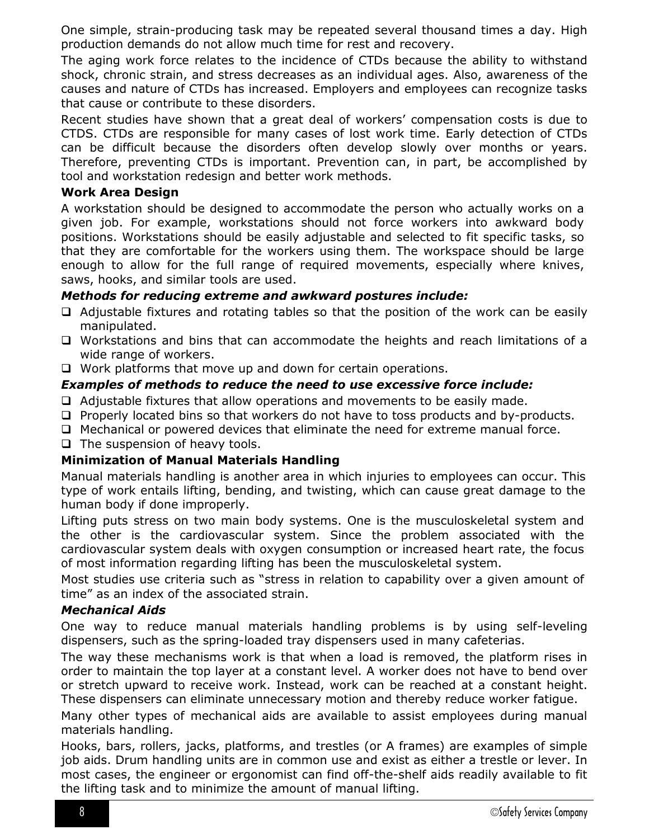One simple, strain-producing task may be repeated several thousand times a day. High production demands do not allow much time for rest and recovery.

The aging work force relates to the incidence of CTDs because the ability to withstand shock, chronic strain, and stress decreases as an individual ages. Also, awareness of the causes and nature of CTDs has increased. Employers and employees can recognize tasks that cause or contribute to these disorders.

Recent studies have shown that a great deal of workers' compensation costs is due to CTDS. CTDs are responsible for many cases of lost work time. Early detection of CTDs can be difficult because the disorders often develop slowly over months or years. Therefore, preventing CTDs is important. Prevention can, in part, be accomplished by tool and workstation redesign and better work methods.

### <span id="page-7-0"></span>**Work Area Design**

A workstation should be designed to accommodate the person who actually works on a given job. For example, workstations should not force workers into awkward body positions. Workstations should be easily adjustable and selected to fit specific tasks, so that they are comfortable for the workers using them. The workspace should be large enough to allow for the full range of required movements, especially where knives, saws, hooks, and similar tools are used.

# *Methods for reducing extreme and awkward postures include:*

- $\Box$  Adjustable fixtures and rotating tables so that the position of the work can be easily manipulated.
- Workstations and bins that can accommodate the heights and reach limitations of a wide range of workers.
- $\Box$  Work platforms that move up and down for certain operations.

# *Examples of methods to reduce the need to use excessive force include:*

- $\Box$  Adjustable fixtures that allow operations and movements to be easily made.
- $\Box$  Properly located bins so that workers do not have to toss products and by-products.
- $\Box$  Mechanical or powered devices that eliminate the need for extreme manual force.
- $\Box$  The suspension of heavy tools.

# <span id="page-7-1"></span>**Minimization of Manual Materials Handling**

Manual materials handling is another area in which injuries to employees can occur. This type of work entails lifting, bending, and twisting, which can cause great damage to the human body if done improperly.

Lifting puts stress on two main body systems. One is the musculoskeletal system and the other is the cardiovascular system. Since the problem associated with the cardiovascular system deals with oxygen consumption or increased heart rate, the focus of most information regarding lifting has been the musculoskeletal system.

Most studies use criteria such as "stress in relation to capability over a given amount of time" as an index of the associated strain.

#### <span id="page-7-2"></span>*Mechanical Aids*

One way to reduce manual materials handling problems is by using self-leveling dispensers, such as the spring-loaded tray dispensers used in many cafeterias.

The way these mechanisms work is that when a load is removed, the platform rises in order to maintain the top layer at a constant level. A worker does not have to bend over or stretch upward to receive work. Instead, work can be reached at a constant height. These dispensers can eliminate unnecessary motion and thereby reduce worker fatigue.

Many other types of mechanical aids are available to assist employees during manual materials handling.

Hooks, bars, rollers, jacks, platforms, and trestles (or A frames) are examples of simple job aids. Drum handling units are in common use and exist as either a trestle or lever. In most cases, the engineer or ergonomist can find off-the-shelf aids readily available to fit the lifting task and to minimize the amount of manual lifting.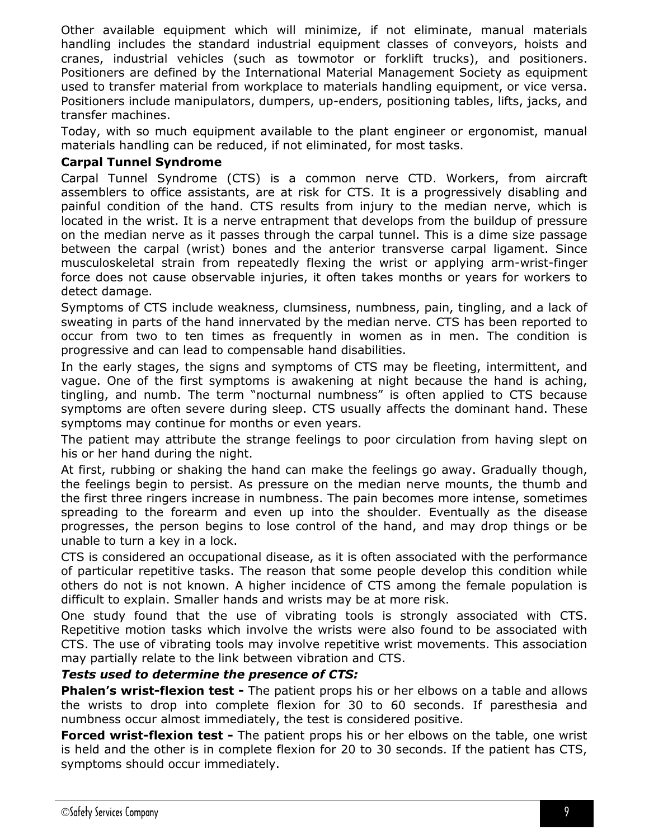Other available equipment which will minimize, if not eliminate, manual materials handling includes the standard industrial equipment classes of conveyors, hoists and cranes, industrial vehicles (such as towmotor or forklift trucks), and positioners. Positioners are defined by the International Material Management Society as equipment used to transfer material from workplace to materials handling equipment, or vice versa. Positioners include manipulators, dumpers, up-enders, positioning tables, lifts, jacks, and transfer machines.

Today, with so much equipment available to the plant engineer or ergonomist, manual materials handling can be reduced, if not eliminated, for most tasks.

## <span id="page-8-0"></span>**Carpal Tunnel Syndrome**

Carpal Tunnel Syndrome (CTS) is a common nerve CTD. Workers, from aircraft assemblers to office assistants, are at risk for CTS. It is a progressively disabling and painful condition of the hand. CTS results from injury to the median nerve, which is located in the wrist. It is a nerve entrapment that develops from the buildup of pressure on the median nerve as it passes through the carpal tunnel. This is a dime size passage between the carpal (wrist) bones and the anterior transverse carpal ligament. Since musculoskeletal strain from repeatedly flexing the wrist or applying arm-wrist-finger force does not cause observable injuries, it often takes months or years for workers to detect damage.

Symptoms of CTS include weakness, clumsiness, numbness, pain, tingling, and a lack of sweating in parts of the hand innervated by the median nerve. CTS has been reported to occur from two to ten times as frequently in women as in men. The condition is progressive and can lead to compensable hand disabilities.

In the early stages, the signs and symptoms of CTS may be fleeting, intermittent, and vague. One of the first symptoms is awakening at night because the hand is aching, tingling, and numb. The term "nocturnal numbness" is often applied to CTS because symptoms are often severe during sleep. CTS usually affects the dominant hand. These symptoms may continue for months or even years.

The patient may attribute the strange feelings to poor circulation from having slept on his or her hand during the night.

At first, rubbing or shaking the hand can make the feelings go away. Gradually though, the feelings begin to persist. As pressure on the median nerve mounts, the thumb and the first three ringers increase in numbness. The pain becomes more intense, sometimes spreading to the forearm and even up into the shoulder. Eventually as the disease progresses, the person begins to lose control of the hand, and may drop things or be unable to turn a key in a lock.

CTS is considered an occupational disease, as it is often associated with the performance of particular repetitive tasks. The reason that some people develop this condition while others do not is not known. A higher incidence of CTS among the female population is difficult to explain. Smaller hands and wrists may be at more risk.

One study found that the use of vibrating tools is strongly associated with CTS. Repetitive motion tasks which involve the wrists were also found to be associated with CTS. The use of vibrating tools may involve repetitive wrist movements. This association may partially relate to the link between vibration and CTS.

#### <span id="page-8-1"></span>*Tests used to determine the presence of CTS:*

**Phalen's wrist-flexion test -** The patient props his or her elbows on a table and allows the wrists to drop into complete flexion for 30 to 60 seconds. If paresthesia and numbness occur almost immediately, the test is considered positive.

**Forced wrist-flexion test -** The patient props his or her elbows on the table, one wrist is held and the other is in complete flexion for 20 to 30 seconds. If the patient has CTS, symptoms should occur immediately.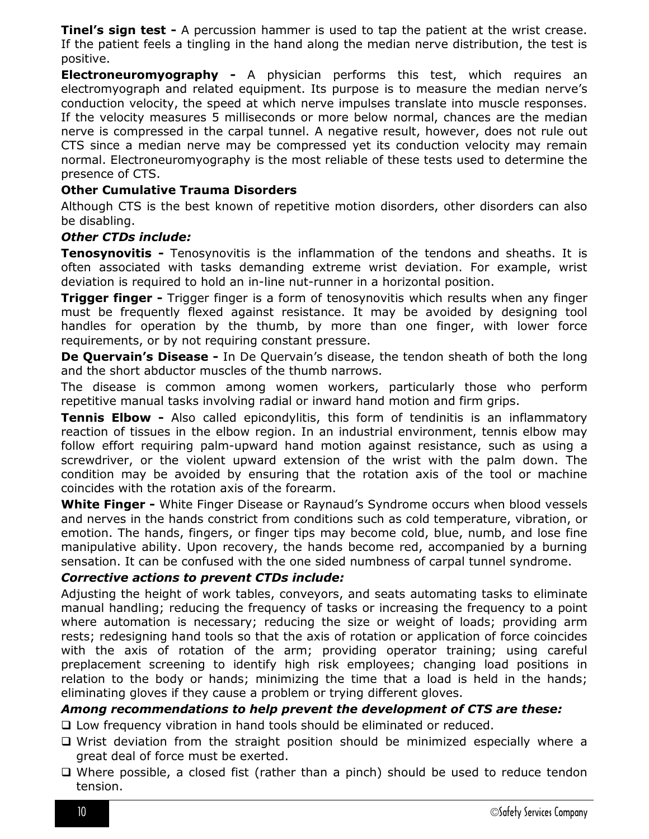**Tinel's sign test -** A percussion hammer is used to tap the patient at the wrist crease. If the patient feels a tingling in the hand along the median nerve distribution, the test is positive.

**Electroneuromyography -** A physician performs this test, which requires an electromyograph and related equipment. Its purpose is to measure the median nerve's conduction velocity, the speed at which nerve impulses translate into muscle responses. If the velocity measures 5 milliseconds or more below normal, chances are the median nerve is compressed in the carpal tunnel. A negative result, however, does not rule out CTS since a median nerve may be compressed yet its conduction velocity may remain normal. Electroneuromyography is the most reliable of these tests used to determine the presence of CTS.

#### <span id="page-9-0"></span>**Other Cumulative Trauma Disorders**

Although CTS is the best known of repetitive motion disorders, other disorders can also be disabling.

#### *Other CTDs include:*

<span id="page-9-1"></span>**Tenosynovitis -** Tenosynovitis is the inflammation of the tendons and sheaths. It is often associated with tasks demanding extreme wrist deviation. For example, wrist deviation is required to hold an in-line nut-runner in a horizontal position.

<span id="page-9-2"></span>**Trigger finger -** Trigger finger is a form of tenosynovitis which results when any finger must be frequently flexed against resistance. It may be avoided by designing tool handles for operation by the thumb, by more than one finger, with lower force requirements, or by not requiring constant pressure.

<span id="page-9-3"></span>**De Quervain's Disease -** In De Quervain's disease, the tendon sheath of both the long and the short abductor muscles of the thumb narrows.

The disease is common among women workers, particularly those who perform repetitive manual tasks involving radial or inward hand motion and firm grips.

<span id="page-9-4"></span>**Tennis Elbow -** Also called epicondylitis, this form of tendinitis is an inflammatory reaction of tissues in the elbow region. In an industrial environment, tennis elbow may follow effort requiring palm-upward hand motion against resistance, such as using a screwdriver, or the violent upward extension of the wrist with the palm down. The condition may be avoided by ensuring that the rotation axis of the tool or machine coincides with the rotation axis of the forearm.

<span id="page-9-5"></span>**White Finger -** White Finger Disease or Raynaud's Syndrome occurs when blood vessels and nerves in the hands constrict from conditions such as cold temperature, vibration, or emotion. The hands, fingers, or finger tips may become cold, blue, numb, and lose fine manipulative ability. Upon recovery, the hands become red, accompanied by a burning sensation. It can be confused with the one sided numbness of carpal tunnel syndrome.

#### *Corrective actions to prevent CTDs include:*

Adjusting the height of work tables, conveyors, and seats automating tasks to eliminate manual handling; reducing the frequency of tasks or increasing the frequency to a point where automation is necessary; reducing the size or weight of loads; providing arm rests; redesigning hand tools so that the axis of rotation or application of force coincides with the axis of rotation of the arm; providing operator training; using careful preplacement screening to identify high risk employees; changing load positions in relation to the body or hands; minimizing the time that a load is held in the hands; eliminating gloves if they cause a problem or trying different gloves.

#### *Among recommendations to help prevent the development of CTS are these:*

Low frequency vibration in hand tools should be eliminated or reduced.

- Wrist deviation from the straight position should be minimized especially where a great deal of force must be exerted.
- Where possible, a closed fist (rather than a pinch) should be used to reduce tendon tension.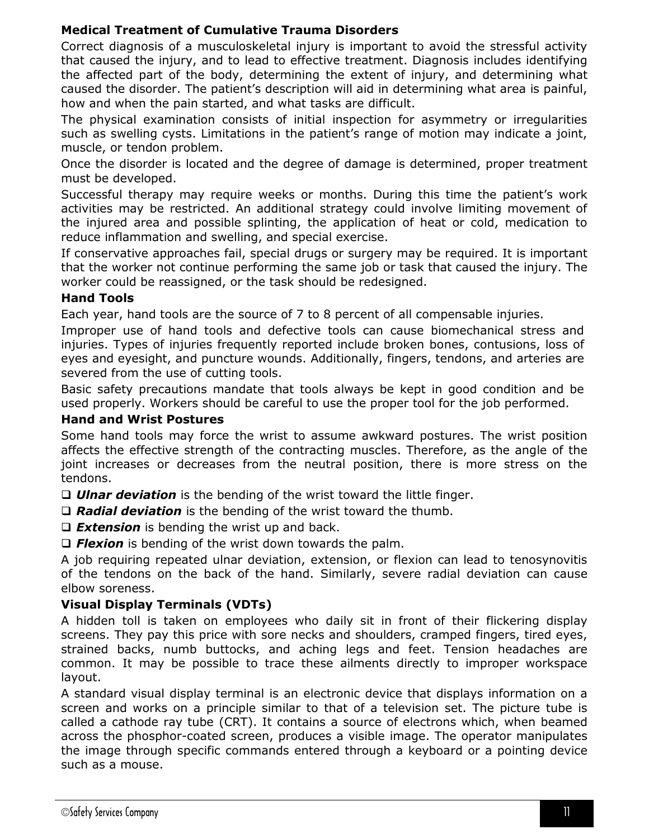# <span id="page-10-0"></span>**Medical Treatment of Cumulative Trauma Disorders**

Correct diagnosis of a musculoskeletal injury is important to avoid the stressful activity that caused the injury, and to lead to effective treatment. Diagnosis includes identifying the affected part of the body, determining the extent of injury, and determining what caused the disorder. The patient's description will aid in determining what area is painful, how and when the pain started, and what tasks are difficult.

The physical examination consists of initial inspection for asymmetry or irregularities such as swelling cysts. Limitations in the patient's range of motion may indicate a joint, muscle, or tendon problem.

Once the disorder is located and the degree of damage is determined, proper treatment must be developed.

Successful therapy may require weeks or months. During this time the patient's work activities may be restricted. An additional strategy could involve limiting movement of the injured area and possible splinting, the application of heat or cold, medication to reduce inflammation and swelling, and special exercise.

If conservative approaches fail, special drugs or surgery may be required. It is important that the worker not continue performing the same job or task that caused the injury. The worker could be reassigned, or the task should be redesigned.

# <span id="page-10-1"></span>**Hand Tools**

Each year, hand tools are the source of 7 to 8 percent of all compensable injuries.

Improper use of hand tools and defective tools can cause biomechanical stress and injuries. Types of injuries frequently reported include broken bones, contusions, loss of eyes and eyesight, and puncture wounds. Additionally, fingers, tendons, and arteries are severed from the use of cutting tools.

Basic safety precautions mandate that tools always be kept in good condition and be used properly. Workers should be careful to use the proper tool for the job performed.

### <span id="page-10-2"></span>**Hand and Wrist Postures**

Some hand tools may force the wrist to assume awkward postures. The wrist position affects the effective strength of the contracting muscles. Therefore, as the angle of the joint increases or decreases from the neutral position, there is more stress on the tendons.

*Ulnar deviation* is the bending of the wrist toward the little finger.

*Radial deviation* is the bending of the wrist toward the thumb.

*Extension* is bending the wrist up and back.

□ **Flexion** is bending of the wrist down towards the palm.

A job requiring repeated ulnar deviation, extension, or flexion can lead to tenosynovitis of the tendons on the back of the hand. Similarly, severe radial deviation can cause elbow soreness.

# <span id="page-10-3"></span>**Visual Display Terminals (VDTs)**

A hidden toll is taken on employees who daily sit in front of their flickering display screens. They pay this price with sore necks and shoulders, cramped fingers, tired eyes, strained backs, numb buttocks, and aching legs and feet. Tension headaches are common. It may be possible to trace these ailments directly to improper workspace layout.

A standard visual display terminal is an electronic device that displays information on a screen and works on a principle similar to that of a television set. The picture tube is called a cathode ray tube (CRT). It contains a source of electrons which, when beamed across the phosphor-coated screen, produces a visible image. The operator manipulates the image through specific commands entered through a keyboard or a pointing device such as a mouse.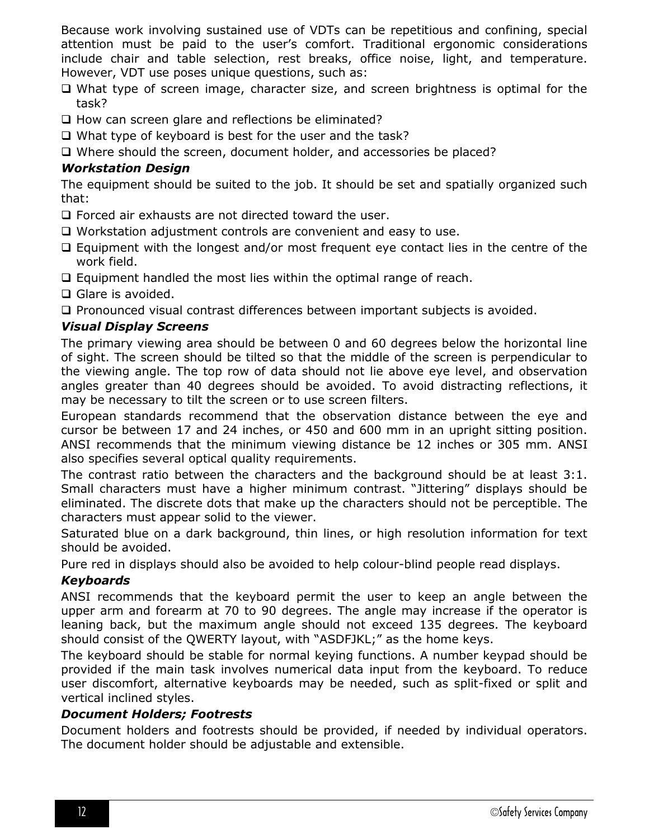Because work involving sustained use of VDTs can be repetitious and confining, special attention must be paid to the user's comfort. Traditional ergonomic considerations include chair and table selection, rest breaks, office noise, light, and temperature. However, VDT use poses unique questions, such as:

- □ What type of screen image, character size, and screen brightness is optimal for the task?
- $\Box$  How can screen glare and reflections be eliminated?
- $\Box$  What type of keyboard is best for the user and the task?
- Where should the screen, document holder, and accessories be placed?

### <span id="page-11-0"></span>*Workstation Design*

The equipment should be suited to the job. It should be set and spatially organized such that:

- Forced air exhausts are not directed toward the user.
- Workstation adjustment controls are convenient and easy to use.
- $\Box$  Equipment with the longest and/or most frequent eye contact lies in the centre of the work field.
- $\Box$  Equipment handled the most lies within the optimal range of reach.
- $\Box$  Glare is avoided.
- $\Box$  Pronounced visual contrast differences between important subjects is avoided.

# <span id="page-11-1"></span>*Visual Display Screens*

The primary viewing area should be between 0 and 60 degrees below the horizontal line of sight. The screen should be tilted so that the middle of the screen is perpendicular to the viewing angle. The top row of data should not lie above eye level, and observation angles greater than 40 degrees should be avoided. To avoid distracting reflections, it may be necessary to tilt the screen or to use screen filters.

European standards recommend that the observation distance between the eye and cursor be between 17 and 24 inches, or 450 and 600 mm in an upright sitting position. ANSI recommends that the minimum viewing distance be 12 inches or 305 mm. ANSI also specifies several optical quality requirements.

The contrast ratio between the characters and the background should be at least 3:1. Small characters must have a higher minimum contrast. "Jittering" displays should be eliminated. The discrete dots that make up the characters should not be perceptible. The characters must appear solid to the viewer.

Saturated blue on a dark background, thin lines, or high resolution information for text should be avoided.

Pure red in displays should also be avoided to help colour-blind people read displays.

# <span id="page-11-2"></span>*Keyboards*

ANSI recommends that the keyboard permit the user to keep an angle between the upper arm and forearm at 70 to 90 degrees. The angle may increase if the operator is leaning back, but the maximum angle should not exceed 135 degrees. The keyboard should consist of the QWERTY layout, with "ASDFJKL;" as the home keys.

The keyboard should be stable for normal keying functions. A number keypad should be provided if the main task involves numerical data input from the keyboard. To reduce user discomfort, alternative keyboards may be needed, such as split-fixed or split and vertical inclined styles.

#### <span id="page-11-3"></span>*Document Holders; Footrests*

<span id="page-11-4"></span>Document holders and footrests should be provided, if needed by individual operators. The document holder should be adjustable and extensible.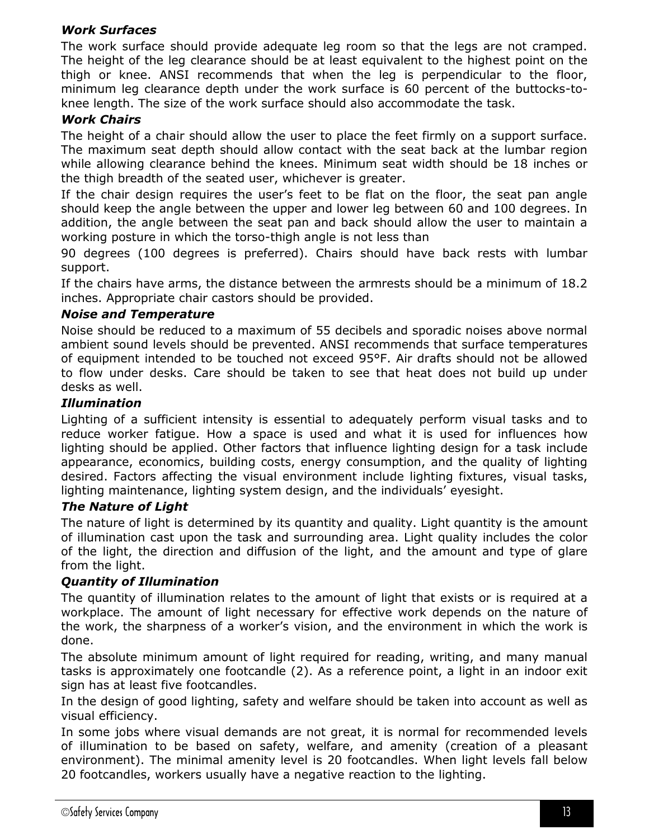# *Work Surfaces*

The work surface should provide adequate leg room so that the legs are not cramped. The height of the leg clearance should be at least equivalent to the highest point on the thigh or knee. ANSI recommends that when the leg is perpendicular to the floor, minimum leg clearance depth under the work surface is 60 percent of the buttocks-toknee length. The size of the work surface should also accommodate the task.

# <span id="page-12-0"></span>*Work Chairs*

The height of a chair should allow the user to place the feet firmly on a support surface. The maximum seat depth should allow contact with the seat back at the lumbar region while allowing clearance behind the knees. Minimum seat width should be 18 inches or the thigh breadth of the seated user, whichever is greater.

If the chair design requires the user's feet to be flat on the floor, the seat pan angle should keep the angle between the upper and lower leg between 60 and 100 degrees. In addition, the angle between the seat pan and back should allow the user to maintain a working posture in which the torso-thigh angle is not less than

90 degrees (100 degrees is preferred). Chairs should have back rests with lumbar support.

If the chairs have arms, the distance between the armrests should be a minimum of 18.2 inches. Appropriate chair castors should be provided.

#### <span id="page-12-1"></span>*Noise and Temperature*

Noise should be reduced to a maximum of 55 decibels and sporadic noises above normal ambient sound levels should be prevented. ANSI recommends that surface temperatures of equipment intended to be touched not exceed 95°F. Air drafts should not be allowed to flow under desks. Care should be taken to see that heat does not build up under desks as well.

#### <span id="page-12-2"></span>*Illumination*

Lighting of a sufficient intensity is essential to adequately perform visual tasks and to reduce worker fatigue. How a space is used and what it is used for influences how lighting should be applied. Other factors that influence lighting design for a task include appearance, economics, building costs, energy consumption, and the quality of lighting desired. Factors affecting the visual environment include lighting fixtures, visual tasks, lighting maintenance, lighting system design, and the individuals' eyesight.

#### <span id="page-12-3"></span>*The Nature of Light*

The nature of light is determined by its quantity and quality. Light quantity is the amount of illumination cast upon the task and surrounding area. Light quality includes the color of the light, the direction and diffusion of the light, and the amount and type of glare from the light.

#### <span id="page-12-4"></span>*Quantity of Illumination*

The quantity of illumination relates to the amount of light that exists or is required at a workplace. The amount of light necessary for effective work depends on the nature of the work, the sharpness of a worker's vision, and the environment in which the work is done.

The absolute minimum amount of light required for reading, writing, and many manual tasks is approximately one footcandle (2). As a reference point, a light in an indoor exit sign has at least five footcandles.

In the design of good lighting, safety and welfare should be taken into account as well as visual efficiency.

In some jobs where visual demands are not great, it is normal for recommended levels of illumination to be based on safety, welfare, and amenity (creation of a pleasant environment). The minimal amenity level is 20 footcandles. When light levels fall below 20 footcandles, workers usually have a negative reaction to the lighting.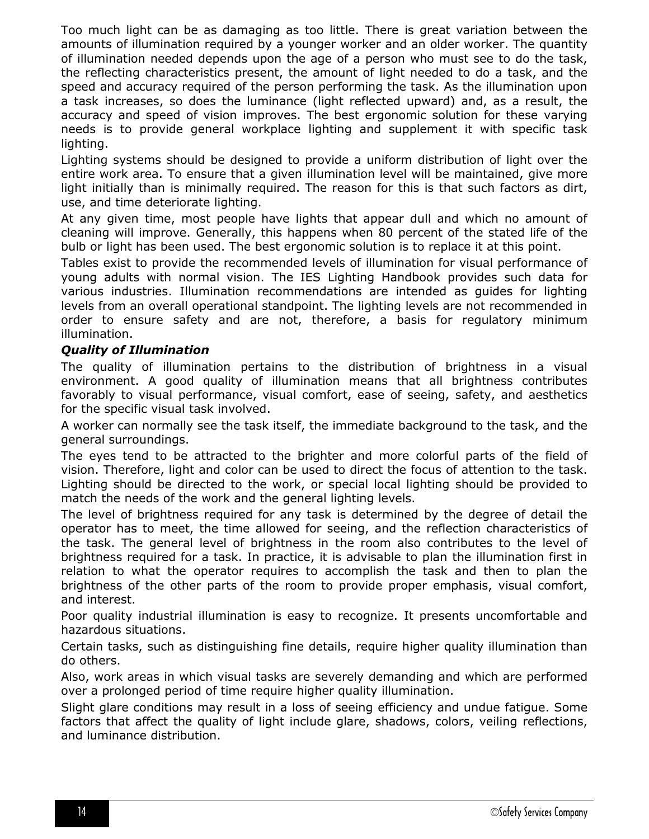Too much light can be as damaging as too little. There is great variation between the amounts of illumination required by a younger worker and an older worker. The quantity of illumination needed depends upon the age of a person who must see to do the task, the reflecting characteristics present, the amount of light needed to do a task, and the speed and accuracy required of the person performing the task. As the illumination upon a task increases, so does the luminance (light reflected upward) and, as a result, the accuracy and speed of vision improves. The best ergonomic solution for these varying needs is to provide general workplace lighting and supplement it with specific task lighting.

Lighting systems should be designed to provide a uniform distribution of light over the entire work area. To ensure that a given illumination level will be maintained, give more light initially than is minimally required. The reason for this is that such factors as dirt, use, and time deteriorate lighting.

At any given time, most people have lights that appear dull and which no amount of cleaning will improve. Generally, this happens when 80 percent of the stated life of the bulb or light has been used. The best ergonomic solution is to replace it at this point.

Tables exist to provide the recommended levels of illumination for visual performance of young adults with normal vision. The IES Lighting Handbook provides such data for various industries. Illumination recommendations are intended as guides for lighting levels from an overall operational standpoint. The lighting levels are not recommended in order to ensure safety and are not, therefore, a basis for regulatory minimum illumination.

#### <span id="page-13-0"></span>*Quality of Illumination*

The quality of illumination pertains to the distribution of brightness in a visual environment. A good quality of illumination means that all brightness contributes favorably to visual performance, visual comfort, ease of seeing, safety, and aesthetics for the specific visual task involved.

A worker can normally see the task itself, the immediate background to the task, and the general surroundings.

The eyes tend to be attracted to the brighter and more colorful parts of the field of vision. Therefore, light and color can be used to direct the focus of attention to the task. Lighting should be directed to the work, or special local lighting should be provided to match the needs of the work and the general lighting levels.

The level of brightness required for any task is determined by the degree of detail the operator has to meet, the time allowed for seeing, and the reflection characteristics of the task. The general level of brightness in the room also contributes to the level of brightness required for a task. In practice, it is advisable to plan the illumination first in relation to what the operator requires to accomplish the task and then to plan the brightness of the other parts of the room to provide proper emphasis, visual comfort, and interest.

Poor quality industrial illumination is easy to recognize. It presents uncomfortable and hazardous situations.

Certain tasks, such as distinguishing fine details, require higher quality illumination than do others.

Also, work areas in which visual tasks are severely demanding and which are performed over a prolonged period of time require higher quality illumination.

<span id="page-13-1"></span>Slight glare conditions may result in a loss of seeing efficiency and undue fatigue. Some factors that affect the quality of light include glare, shadows, colors, veiling reflections, and luminance distribution.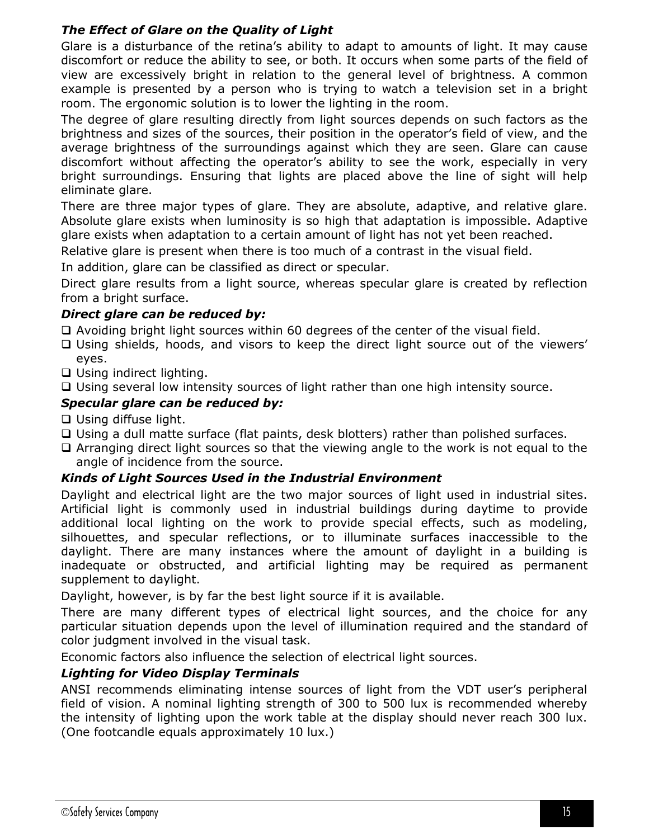# *The Effect of Glare on the Quality of Light*

Glare is a disturbance of the retina's ability to adapt to amounts of light. It may cause discomfort or reduce the ability to see, or both. It occurs when some parts of the field of view are excessively bright in relation to the general level of brightness. A common example is presented by a person who is trying to watch a television set in a bright room. The ergonomic solution is to lower the lighting in the room.

The degree of glare resulting directly from light sources depends on such factors as the brightness and sizes of the sources, their position in the operator's field of view, and the average brightness of the surroundings against which they are seen. Glare can cause discomfort without affecting the operator's ability to see the work, especially in very bright surroundings. Ensuring that lights are placed above the line of sight will help eliminate glare.

There are three major types of glare. They are absolute, adaptive, and relative glare. Absolute glare exists when luminosity is so high that adaptation is impossible. Adaptive glare exists when adaptation to a certain amount of light has not yet been reached.

Relative glare is present when there is too much of a contrast in the visual field.

In addition, glare can be classified as direct or specular.

Direct glare results from a light source, whereas specular glare is created by reflection from a bright surface.

# *Direct glare can be reduced by:*

- $\Box$  Avoiding bright light sources within 60 degrees of the center of the visual field.
- Using shields, hoods, and visors to keep the direct light source out of the viewers' eyes.
- □ Using indirect lighting.
- $\Box$  Using several low intensity sources of light rather than one high intensity source.

# *Specular glare can be reduced by:*

- □ Using diffuse light.
- Using a dull matte surface (flat paints, desk blotters) rather than polished surfaces.
- Arranging direct light sources so that the viewing angle to the work is not equal to the angle of incidence from the source.

# <span id="page-14-0"></span>*Kinds of Light Sources Used in the Industrial Environment*

Daylight and electrical light are the two major sources of light used in industrial sites. Artificial light is commonly used in industrial buildings during daytime to provide additional local lighting on the work to provide special effects, such as modeling, silhouettes, and specular reflections, or to illuminate surfaces inaccessible to the daylight. There are many instances where the amount of daylight in a building is inadequate or obstructed, and artificial lighting may be required as permanent supplement to daylight.

Daylight, however, is by far the best light source if it is available.

There are many different types of electrical light sources, and the choice for any particular situation depends upon the level of illumination required and the standard of color judgment involved in the visual task.

Economic factors also influence the selection of electrical light sources.

# <span id="page-14-1"></span>*Lighting for Video Display Terminals*

ANSI recommends eliminating intense sources of light from the VDT user's peripheral field of vision. A nominal lighting strength of 300 to 500 lux is recommended whereby the intensity of lighting upon the work table at the display should never reach 300 lux. (One footcandle equals approximately 10 lux.)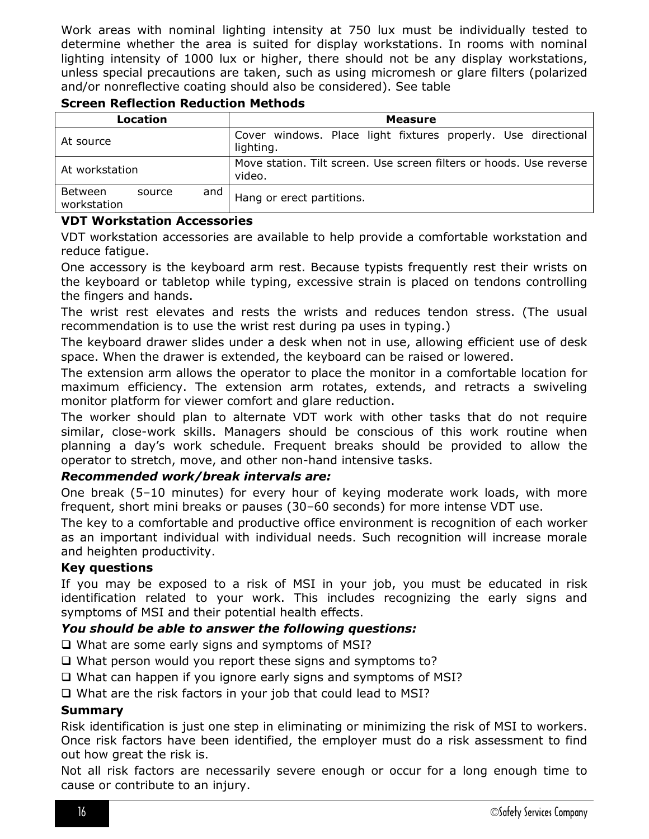Work areas with nominal lighting intensity at 750 lux must be individually tested to determine whether the area is suited for display workstations. In rooms with nominal lighting intensity of 1000 lux or higher, there should not be any display workstations, unless special precautions are taken, such as using micromesh or glare filters (polarized and/or nonreflective coating should also be considered). See table

| Location                                                                                        |        |     | <b>Measure</b>                                                             |  |  |  |
|-------------------------------------------------------------------------------------------------|--------|-----|----------------------------------------------------------------------------|--|--|--|
| At source                                                                                       |        |     | Cover windows. Place light fixtures properly. Use directional<br>lighting. |  |  |  |
| Move station. Tilt screen. Use screen filters or hoods. Use reverse<br>At workstation<br>video. |        |     |                                                                            |  |  |  |
| Between<br>workstation                                                                          | source | and | Hang or erect partitions.                                                  |  |  |  |

# <span id="page-15-0"></span>**Screen Reflection Reduction Methods**

#### <span id="page-15-1"></span>**VDT Workstation Accessories**

VDT workstation accessories are available to help provide a comfortable workstation and reduce fatigue.

One accessory is the keyboard arm rest. Because typists frequently rest their wrists on the keyboard or tabletop while typing, excessive strain is placed on tendons controlling the fingers and hands.

The wrist rest elevates and rests the wrists and reduces tendon stress. (The usual recommendation is to use the wrist rest during pa uses in typing.)

The keyboard drawer slides under a desk when not in use, allowing efficient use of desk space. When the drawer is extended, the keyboard can be raised or lowered.

The extension arm allows the operator to place the monitor in a comfortable location for maximum efficiency. The extension arm rotates, extends, and retracts a swiveling monitor platform for viewer comfort and glare reduction.

The worker should plan to alternate VDT work with other tasks that do not require similar, close-work skills. Managers should be conscious of this work routine when planning a day's work schedule. Frequent breaks should be provided to allow the operator to stretch, move, and other non-hand intensive tasks.

#### *Recommended work/break intervals are:*

One break (5–10 minutes) for every hour of keying moderate work loads, with more frequent, short mini breaks or pauses (30–60 seconds) for more intense VDT use.

The key to a comfortable and productive office environment is recognition of each worker as an important individual with individual needs. Such recognition will increase morale and heighten productivity.

#### <span id="page-15-2"></span>**Key questions**

If you may be exposed to a risk of MSI in your job, you must be educated in risk identification related to your work. This includes recognizing the early signs and symptoms of MSI and their potential health effects.

#### *You should be able to answer the following questions:*

 $\Box$  What are some early signs and symptoms of MSI?

- What person would you report these signs and symptoms to?
- What can happen if you ignore early signs and symptoms of MSI?
- □ What are the risk factors in your job that could lead to MSI?

#### <span id="page-15-3"></span>**Summary**

Risk identification is just one step in eliminating or minimizing the risk of MSI to workers. Once risk factors have been identified, the employer must do a risk assessment to find out how great the risk is.

Not all risk factors are necessarily severe enough or occur for a long enough time to cause or contribute to an injury.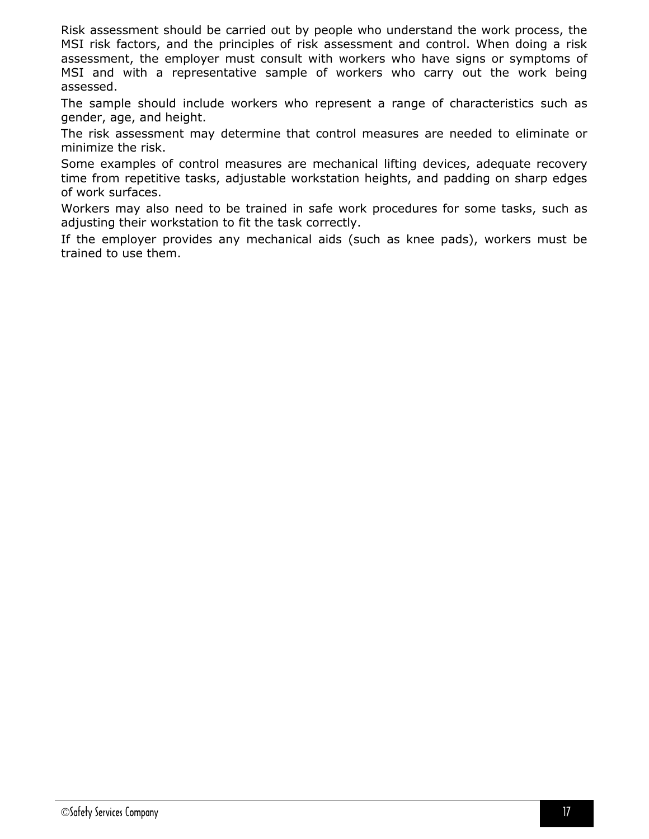Risk assessment should be carried out by people who understand the work process, the MSI risk factors, and the principles of risk assessment and control. When doing a risk assessment, the employer must consult with workers who have signs or symptoms of MSI and with a representative sample of workers who carry out the work being assessed.

The sample should include workers who represent a range of characteristics such as gender, age, and height.

The risk assessment may determine that control measures are needed to eliminate or minimize the risk.

Some examples of control measures are mechanical lifting devices, adequate recovery time from repetitive tasks, adjustable workstation heights, and padding on sharp edges of work surfaces.

Workers may also need to be trained in safe work procedures for some tasks, such as adjusting their workstation to fit the task correctly.

If the employer provides any mechanical aids (such as knee pads), workers must be trained to use them.